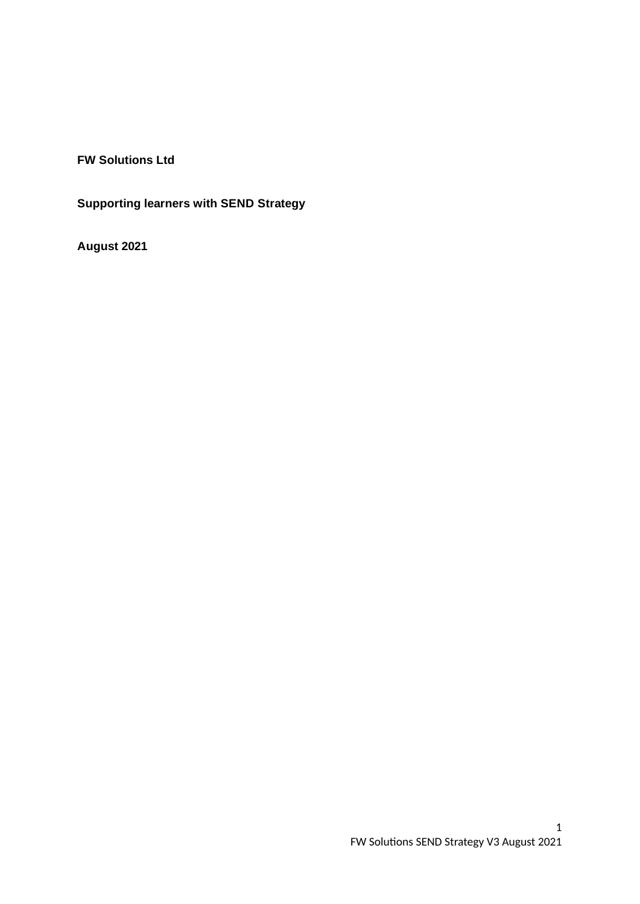**FW Solutions Ltd**

**Supporting learners with SEND Strategy**

**August 2021**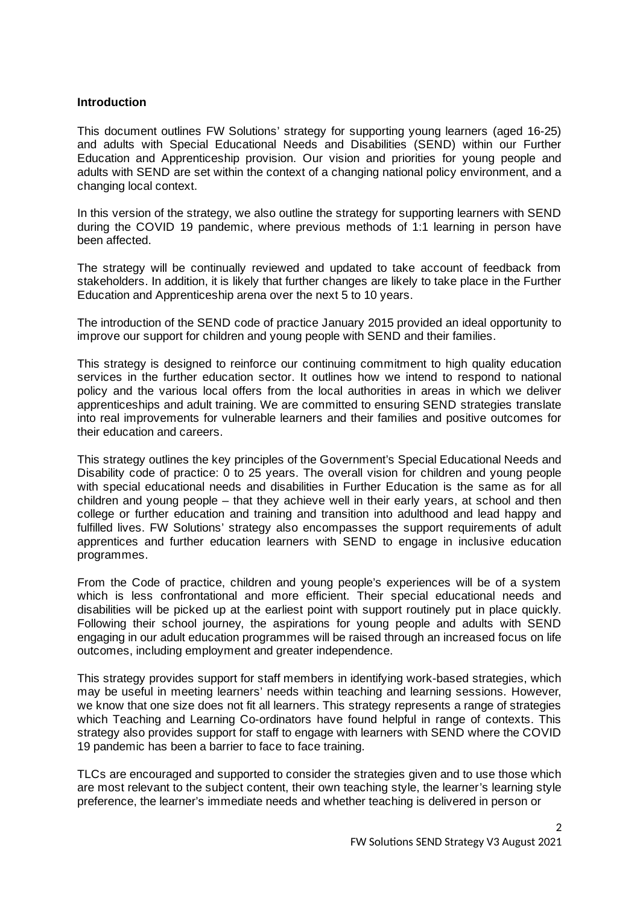#### **Introduction**

This document outlines FW Solutions' strategy for supporting young learners (aged 16-25) and adults with Special Educational Needs and Disabilities (SEND) within our Further Education and Apprenticeship provision. Our vision and priorities for young people and adults with SEND are set within the context of a changing national policy environment, and a changing local context.

In this version of the strategy, we also outline the strategy for supporting learners with SEND during the COVID 19 pandemic, where previous methods of 1:1 learning in person have been affected.

The strategy will be continually reviewed and updated to take account of feedback from stakeholders. In addition, it is likely that further changes are likely to take place in the Further Education and Apprenticeship arena over the next 5 to 10 years.

The introduction of the SEND code of practice January 2015 provided an ideal opportunity to improve our support for children and young people with SEND and their families.

This strategy is designed to reinforce our continuing commitment to high quality education services in the further education sector. It outlines how we intend to respond to national policy and the various local offers from the local authorities in areas in which we deliver apprenticeships and adult training. We are committed to ensuring SEND strategies translate into real improvements for vulnerable learners and their families and positive outcomes for their education and careers.

This strategy outlines the key principles of the Government's Special Educational Needs and Disability code of practice: 0 to 25 years. The overall vision for children and young people with special educational needs and disabilities in Further Education is the same as for all children and young people – that they achieve well in their early years, at school and then college or further education and training and transition into adulthood and lead happy and fulfilled lives. FW Solutions' strategy also encompasses the support requirements of adult apprentices and further education learners with SEND to engage in inclusive education programmes.

From the Code of practice, children and young people's experiences will be of a system which is less confrontational and more efficient. Their special educational needs and disabilities will be picked up at the earliest point with support routinely put in place quickly. Following their school journey, the aspirations for young people and adults with SEND engaging in our adult education programmes will be raised through an increased focus on life outcomes, including employment and greater independence.

This strategy provides support for staff members in identifying work-based strategies, which may be useful in meeting learners' needs within teaching and learning sessions. However, we know that one size does not fit all learners. This strategy represents a range of strategies which Teaching and Learning Co-ordinators have found helpful in range of contexts. This strategy also provides support for staff to engage with learners with SEND where the COVID 19 pandemic has been a barrier to face to face training.

TLCs are encouraged and supported to consider the strategies given and to use those which are most relevant to the subject content, their own teaching style, the learner's learning style preference, the learner's immediate needs and whether teaching is delivered in person or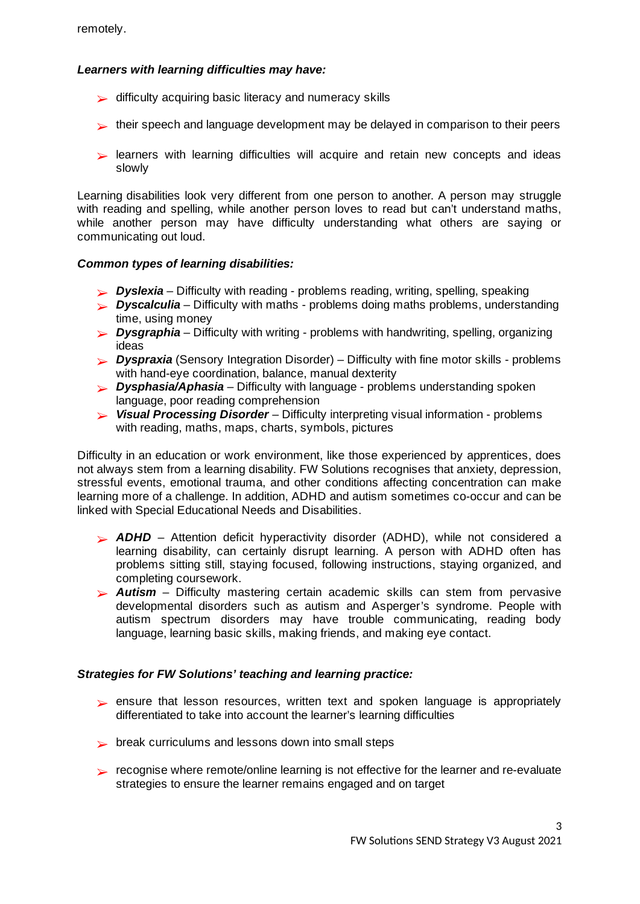# *Learners with learning difficulties may have:*

- $\triangleright$  difficulty acquiring basic literacy and numeracy skills
- $\blacktriangleright$  their speech and language development may be delayed in comparison to their peers
- learners with learning difficulties will acquire and retain new concepts and ideas ➢ slowly

Learning disabilities look very different from one person to another. A person may struggle with reading and spelling, while another person loves to read but can't understand maths, while another person may have difficulty understanding what others are saying or communicating out loud.

### *Common types of learning disabilities:*

- ➢ *Dyslexia* Difficulty with reading problems reading, writing, spelling, speaking
- *Dyscalculia* Difficulty with maths problems doing maths problems, understanding ➢ time, using money
- *Dysgraphia* Difficulty with writing problems with handwriting, spelling, organizing ➢ ideas
- *Dyspraxia* (Sensory Integration Disorder) Difficulty with fine motor skills problems ➢ with hand-eye coordination, balance, manual dexterity
- *Dysphasia/Aphasia* Difficulty with language problems understanding spoken ➢ language, poor reading comprehension
- *Visual Processing Disorder* Difficulty interpreting visual information problems ➢ with reading, maths, maps, charts, symbols, pictures

Difficulty in an education or work environment, like those experienced by apprentices, does not always stem from a learning disability. FW Solutions recognises that anxiety, depression, stressful events, emotional trauma, and other conditions affecting concentration can make learning more of a challenge. In addition, ADHD and autism sometimes co-occur and can be linked with Special Educational Needs and Disabilities.

- **ADHD** Attention deficit hyperactivity disorder (ADHD), while not considered a learning disability, can certainly disrupt learning. A person with ADHD often has problems sitting still, staying focused, following instructions, staying organized, and completing coursework.
- *Autism* Difficulty mastering certain academic skills can stem from pervasive ➢ developmental disorders such as autism and Asperger's syndrome. People with autism spectrum disorders may have trouble communicating, reading body language, learning basic skills, making friends, and making eye contact.

### *Strategies for FW Solutions' teaching and learning practice:*

- ► ensure that lesson resources, written text and spoken language is appropriately differentiated to take into account the learner's learning difficulties
- $\triangleright$  break curriculums and lessons down into small steps
- recognise where remote/online learning is not effective for the learner and re-evaluate ➢ strategies to ensure the learner remains engaged and on target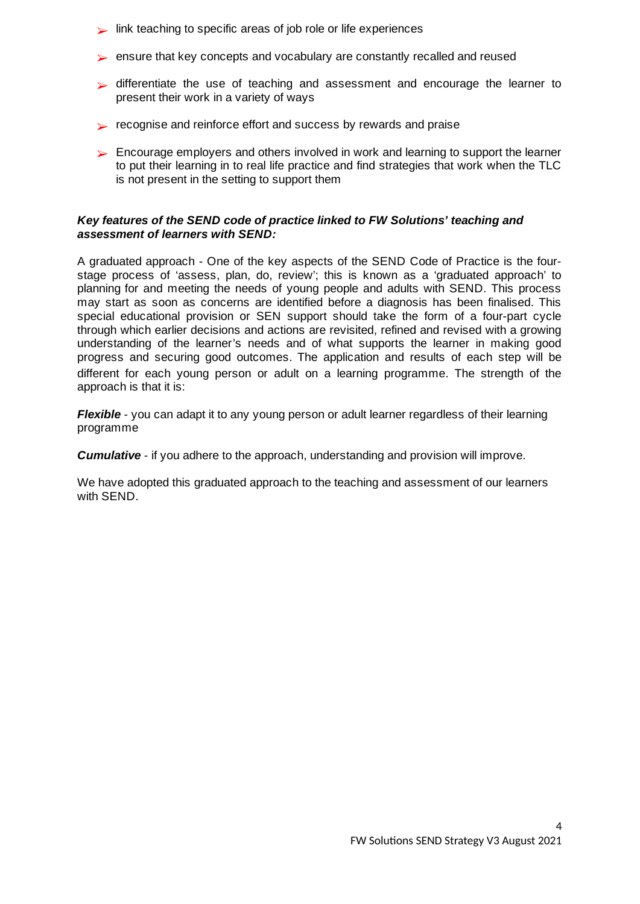- $\blacktriangleright$  link teaching to specific areas of job role or life experiences
- ➢ ensure that key concepts and vocabulary are constantly recalled and reused
- differentiate the use of teaching and assessment and encourage the learner to ➢ present their work in a variety of ways
- $\triangleright$  recognise and reinforce effort and success by rewards and praise
- Encourage employers and others involved in work and learning to support the learner ➢ to put their learning in to real life practice and find strategies that work when the TLC is not present in the setting to support them

### *Key features of the SEND code of practice linked to FW Solutions' teaching and assessment of learners with SEND:*

A graduated approach - One of the key aspects of the SEND Code of Practice is the fourstage process of 'assess, plan, do, review'; this is known as a 'graduated approach' to planning for and meeting the needs of young people and adults with SEND. This process may start as soon as concerns are identified before a diagnosis has been finalised. This special educational provision or SEN support should take the form of a four-part cycle through which earlier decisions and actions are revisited, refined and revised with a growing understanding of the learner's needs and of what supports the learner in making good progress and securing good outcomes. The application and results of each step will be different for each young person or adult on a learning programme. The strength of the approach is that it is:

*Flexible* - you can adapt it to any young person or adult learner regardless of their learning programme

*Cumulative* - if you adhere to the approach, understanding and provision will improve.

We have adopted this graduated approach to the teaching and assessment of our learners with SEND.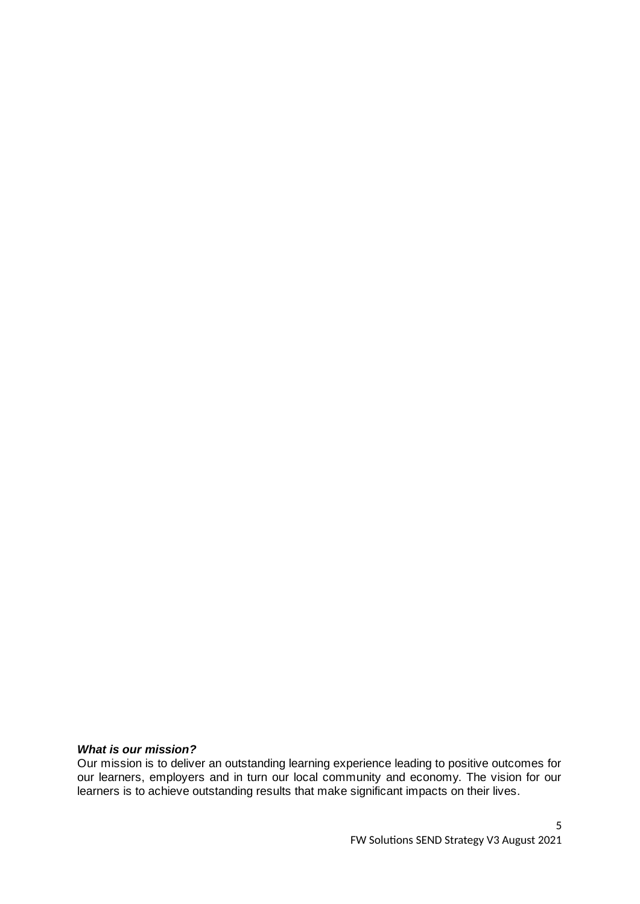### *What is our mission?*

Our mission is to deliver an outstanding learning experience leading to positive outcomes for our learners, employers and in turn our local community and economy. The vision for our learners is to achieve outstanding results that make significant impacts on their lives.